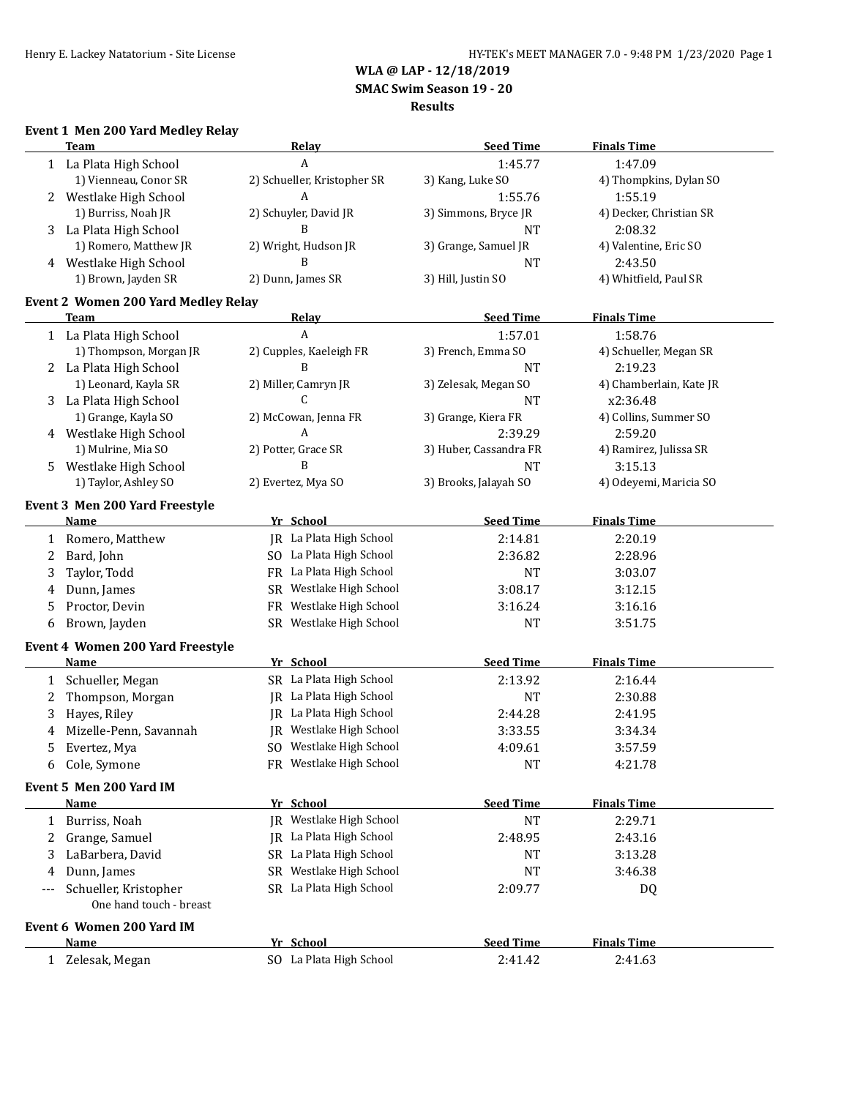**SMAC Swim Season 19 - 20**

#### **Results**

## **Event 1 Men 200 Yard Medley Relay**

|                                     | <b>Team</b>                                      | <b>Relay</b>                                       | <b>Seed Time</b>       | <b>Finals Time</b>      |  |  |  |
|-------------------------------------|--------------------------------------------------|----------------------------------------------------|------------------------|-------------------------|--|--|--|
|                                     | 1 La Plata High School                           | A                                                  | 1:45.77                | 1:47.09                 |  |  |  |
|                                     | 1) Vienneau, Conor SR                            | 2) Schueller, Kristopher SR                        | 3) Kang, Luke SO       | 4) Thompkins, Dylan SO  |  |  |  |
| 2                                   | Westlake High School                             | A                                                  | 1:55.76                | 1:55.19                 |  |  |  |
|                                     | 1) Burriss, Noah JR                              | 2) Schuyler, David JR                              | 3) Simmons, Bryce JR   | 4) Decker, Christian SR |  |  |  |
| 3                                   | La Plata High School                             | B                                                  | <b>NT</b>              | 2:08.32                 |  |  |  |
|                                     | 1) Romero, Matthew JR                            | 2) Wright, Hudson JR                               | 3) Grange, Samuel JR   | 4) Valentine, Eric SO   |  |  |  |
| 4                                   | Westlake High School                             | B                                                  | <b>NT</b>              | 2:43.50                 |  |  |  |
|                                     | 1) Brown, Jayden SR                              | 2) Dunn, James SR                                  | 3) Hill, Justin SO     | 4) Whitfield, Paul SR   |  |  |  |
| Event 2 Women 200 Yard Medley Relay |                                                  |                                                    |                        |                         |  |  |  |
|                                     | <b>Team</b>                                      | <b>Relay</b>                                       | <b>Seed Time</b>       | <b>Finals Time</b>      |  |  |  |
|                                     | 1 La Plata High School                           | A                                                  | 1:57.01                | 1:58.76                 |  |  |  |
|                                     | 1) Thompson, Morgan JR                           | 2) Cupples, Kaeleigh FR                            | 3) French, Emma SO     | 4) Schueller, Megan SR  |  |  |  |
| 2                                   | La Plata High School                             | B                                                  | <b>NT</b>              | 2:19.23                 |  |  |  |
|                                     | 1) Leonard, Kayla SR                             | 2) Miller, Camryn JR                               | 3) Zelesak, Megan SO   | 4) Chamberlain, Kate JR |  |  |  |
| 3                                   | La Plata High School                             | $\mathsf{C}$                                       | <b>NT</b>              | x2:36.48                |  |  |  |
|                                     | 1) Grange, Kayla SO                              | 2) McCowan, Jenna FR                               | 3) Grange, Kiera FR    | 4) Collins, Summer SO   |  |  |  |
|                                     | 4 Westlake High School                           | A                                                  | 2:39.29                | 2:59.20                 |  |  |  |
|                                     | 1) Mulrine, Mia SO                               | 2) Potter, Grace SR                                | 3) Huber, Cassandra FR | 4) Ramirez, Julissa SR  |  |  |  |
| 5                                   | Westlake High School                             | B                                                  | <b>NT</b>              | 3:15.13                 |  |  |  |
|                                     | 1) Taylor, Ashley SO                             | 2) Evertez, Mya SO                                 | 3) Brooks, Jalayah SO  | 4) Odeyemi, Maricia SO  |  |  |  |
|                                     |                                                  |                                                    |                        |                         |  |  |  |
|                                     | Event 3 Men 200 Yard Freestyle                   |                                                    |                        |                         |  |  |  |
|                                     | Name                                             | Yr School                                          | <b>Seed Time</b>       | <b>Finals Time</b>      |  |  |  |
| 1                                   | Romero, Matthew                                  | JR La Plata High School                            | 2:14.81                | 2:20.19                 |  |  |  |
| 2                                   | Bard, John                                       | SO La Plata High School                            | 2:36.82                | 2:28.96                 |  |  |  |
| 3                                   | Taylor, Todd                                     | FR La Plata High School                            | <b>NT</b>              | 3:03.07                 |  |  |  |
| 4                                   | Dunn, James                                      | Westlake High School<br>SR                         | 3:08.17                | 3:12.15                 |  |  |  |
| 5                                   | Proctor, Devin                                   | FR Westlake High School                            | 3:16.24                | 3:16.16                 |  |  |  |
| 6                                   | Brown, Jayden                                    | SR Westlake High School                            | <b>NT</b>              | 3:51.75                 |  |  |  |
|                                     | Event 4 Women 200 Yard Freestyle                 |                                                    |                        |                         |  |  |  |
|                                     | Name                                             | Yr School                                          | <b>Seed Time</b>       | <b>Finals Time</b>      |  |  |  |
| 1                                   | Schueller, Megan                                 | SR La Plata High School                            | 2:13.92                | 2:16.44                 |  |  |  |
| 2                                   | Thompson, Morgan                                 | JR La Plata High School                            | <b>NT</b>              | 2:30.88                 |  |  |  |
| 3                                   | Hayes, Riley                                     | JR La Plata High School                            | 2:44.28                | 2:41.95                 |  |  |  |
| 4                                   | Mizelle-Penn, Savannah                           | JR Westlake High School                            | 3:33.55                | 3:34.34                 |  |  |  |
| 5                                   | Evertez, Mya                                     | SO Westlake High School                            | 4:09.61                | 3:57.59                 |  |  |  |
| 6                                   | Cole, Symone                                     | FR Westlake High School                            | <b>NT</b>              | 4:21.78                 |  |  |  |
|                                     | Event 5 Men 200 Yard IM                          |                                                    |                        |                         |  |  |  |
|                                     | Name                                             | Yr School                                          | <b>Seed Time</b>       | <b>Finals Time</b>      |  |  |  |
|                                     |                                                  | JR Westlake High School                            | <b>NT</b>              | 2:29.71                 |  |  |  |
| 1                                   | Burriss, Noah                                    |                                                    |                        |                         |  |  |  |
| 2                                   | Grange, Samuel                                   | JR La Plata High School<br>SR La Plata High School | 2:48.95                | 2:43.16                 |  |  |  |
| 3                                   | LaBarbera, David                                 |                                                    | <b>NT</b>              | 3:13.28                 |  |  |  |
| 4                                   | Dunn, James                                      | SR Westlake High School                            | <b>NT</b>              | 3:46.38                 |  |  |  |
| ---                                 | Schueller, Kristopher<br>One hand touch - breast | SR La Plata High School                            | 2:09.77                | DQ                      |  |  |  |
|                                     | Event 6 Women 200 Yard IM                        |                                                    |                        |                         |  |  |  |
|                                     | Name                                             | Yr School                                          | <b>Seed Time</b>       | <b>Finals Time</b>      |  |  |  |
|                                     | 1 Zelesak, Megan                                 | SO La Plata High School                            | 2:41.42                | 2:41.63                 |  |  |  |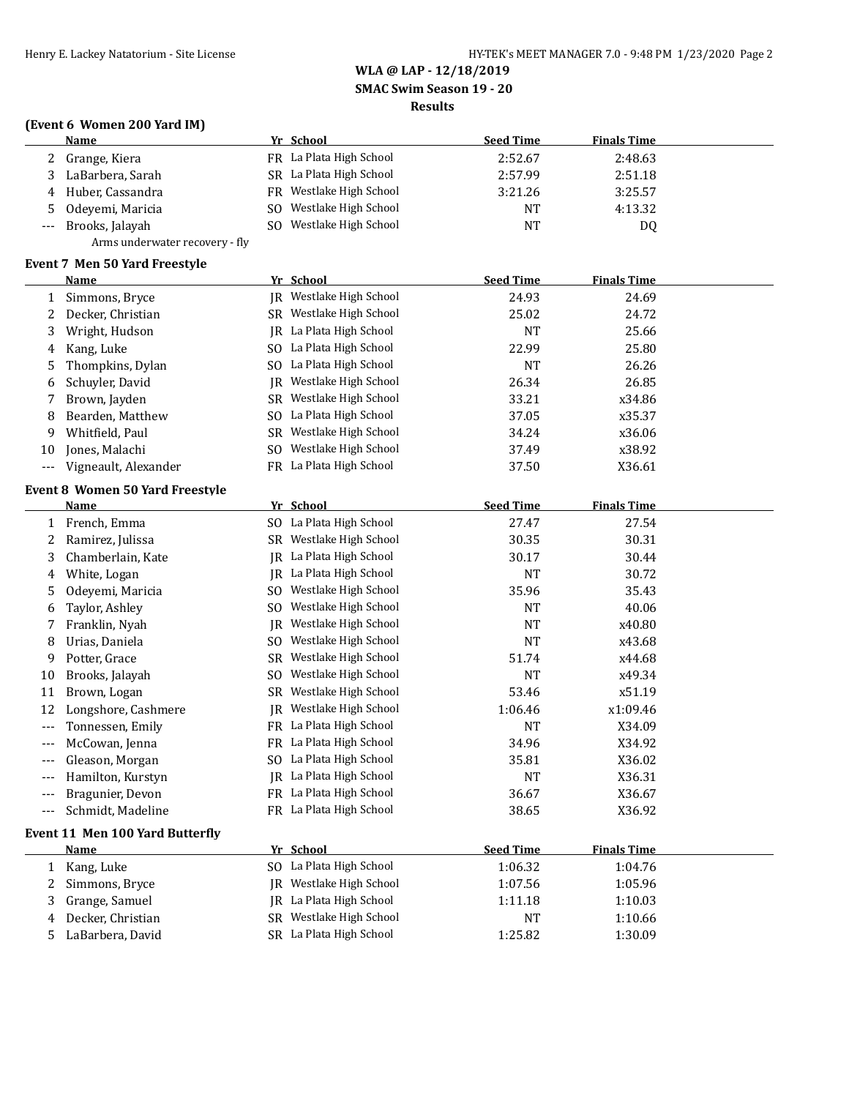**SMAC Swim Season 19 - 20**

### **Results**

# **(Event 6 Women 200 Yard IM)**

|                      | <b>Name</b>                                    |     | Yr School               | <b>Seed Time</b>            | <b>Finals Time</b> |  |
|----------------------|------------------------------------------------|-----|-------------------------|-----------------------------|--------------------|--|
| 2                    | Grange, Kiera                                  |     | FR La Plata High School | 2:52.67                     | 2:48.63            |  |
| 3                    | LaBarbera, Sarah                               |     | SR La Plata High School | 2:57.99                     | 2:51.18            |  |
| 4                    | Huber, Cassandra                               |     | FR Westlake High School | 3:21.26                     | 3:25.57            |  |
| 5                    | Odeyemi, Maricia                               | SO. | Westlake High School    | NT                          | 4:13.32            |  |
|                      | Brooks, Jalayah                                | SO. | Westlake High School    | NT                          | DQ                 |  |
|                      | Arms underwater recovery - fly                 |     |                         |                             |                    |  |
|                      | <b>Event 7 Men 50 Yard Freestyle</b>           |     |                         |                             |                    |  |
|                      | <b>Name</b>                                    |     | Yr School               | <b>Seed Time</b>            | <b>Finals Time</b> |  |
| 1                    | Simmons, Bryce                                 |     | JR Westlake High School | 24.93                       | 24.69              |  |
| 2                    | Decker, Christian                              |     | SR Westlake High School | 25.02                       | 24.72              |  |
| 3                    | Wright, Hudson                                 |     | JR La Plata High School | <b>NT</b>                   | 25.66              |  |
| 4                    | Kang, Luke                                     |     | SO La Plata High School | 22.99                       | 25.80              |  |
| 5                    | Thompkins, Dylan                               |     | SO La Plata High School | <b>NT</b>                   | 26.26              |  |
| 6                    | Schuyler, David                                | IR  | Westlake High School    | 26.34                       | 26.85              |  |
| 7                    | Brown, Jayden                                  |     | SR Westlake High School | 33.21                       | x34.86             |  |
| 8                    | Bearden, Matthew                               |     | SO La Plata High School | 37.05                       | x35.37             |  |
| 9                    | Whitfield, Paul                                |     | SR Westlake High School | 34.24                       | x36.06             |  |
| 10                   | Jones, Malachi                                 |     | SO Westlake High School | 37.49                       | x38.92             |  |
| $\scriptstyle\cdots$ | Vigneault, Alexander                           |     | FR La Plata High School | 37.50                       | X36.61             |  |
|                      |                                                |     |                         |                             |                    |  |
|                      | <b>Event 8 Women 50 Yard Freestyle</b><br>Name |     | Yr School               | <b>Seed Time</b>            | <b>Finals Time</b> |  |
| 1                    | French, Emma                                   |     | SO La Plata High School | 27.47                       | 27.54              |  |
| 2                    | Ramirez, Julissa                               |     | SR Westlake High School | 30.35                       | 30.31              |  |
| 3                    | Chamberlain, Kate                              |     | JR La Plata High School | 30.17                       | 30.44              |  |
| 4                    | White, Logan                                   |     | JR La Plata High School | <b>NT</b>                   | 30.72              |  |
| 5                    | Odeyemi, Maricia                               |     | SO Westlake High School | 35.96                       | 35.43              |  |
| 6                    | Taylor, Ashley                                 | SO. | Westlake High School    | <b>NT</b>                   | 40.06              |  |
| 7                    | Franklin, Nyah                                 | JR. | Westlake High School    | <b>NT</b>                   | x40.80             |  |
| 8                    | Urias, Daniela                                 | SO. | Westlake High School    | <b>NT</b>                   | x43.68             |  |
| 9                    | Potter, Grace                                  | SR  | Westlake High School    | 51.74                       | x44.68             |  |
| 10                   | Brooks, Jalayah                                | SO. | Westlake High School    | <b>NT</b>                   | x49.34             |  |
| 11                   | Brown, Logan                                   | SR  | Westlake High School    | 53.46                       | x51.19             |  |
| 12                   | Longshore, Cashmere                            |     | JR Westlake High School | 1:06.46                     | x1:09.46           |  |
| $---$                | Tonnessen, Emily                               |     | FR La Plata High School | <b>NT</b>                   | X34.09             |  |
| ---                  | McCowan, Jenna                                 |     | FR La Plata High School | 34.96                       | X34.92             |  |
|                      | Gleason, Morgan                                |     | SO La Plata High School | 35.81                       | X36.02             |  |
|                      | Hamilton, Kurstyn                              |     | JR La Plata High School | <b>NT</b>                   | X36.31             |  |
| ---                  | Bragunier, Devon                               |     | FR La Plata High School | 36.67                       | X36.67             |  |
| $---$                | Schmidt, Madeline                              |     | FR La Plata High School | 38.65                       | X36.92             |  |
|                      |                                                |     |                         |                             |                    |  |
|                      | Event 11 Men 100 Yard Butterfly                |     | Yr School               |                             |                    |  |
|                      | Name                                           |     | SO La Plata High School | <b>Seed Time</b><br>1:06.32 | <b>Finals Time</b> |  |
| 1                    | Kang, Luke                                     |     | JR Westlake High School | 1:07.56                     | 1:04.76<br>1:05.96 |  |
| 2                    | Simmons, Bryce<br>Grange, Samuel               |     | IR La Plata High School |                             | 1:10.03            |  |
| 3<br>4               | Decker, Christian                              |     | SR Westlake High School | 1:11.18<br><b>NT</b>        | 1:10.66            |  |
| 5                    | LaBarbera, David                               |     | SR La Plata High School | 1:25.82                     | 1:30.09            |  |
|                      |                                                |     |                         |                             |                    |  |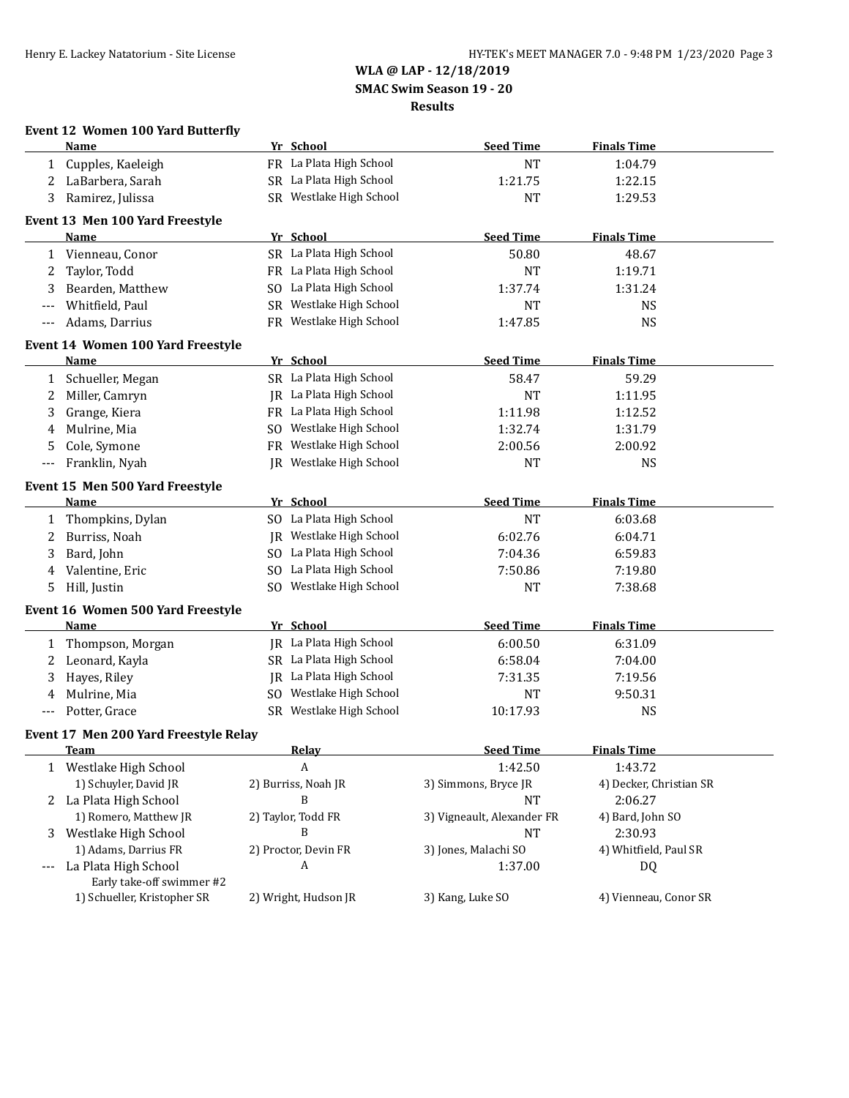**WLA @ LAP - 12/18/2019 SMAC Swim Season 19 - 20**

**Results**

| <b>Event 12 Women 100 Yard Butterfly</b> |                                       |           |                         |                            |                         |  |  |
|------------------------------------------|---------------------------------------|-----------|-------------------------|----------------------------|-------------------------|--|--|
|                                          | Name                                  |           | Yr School               | <b>Seed Time</b>           | <b>Finals Time</b>      |  |  |
| $\mathbf{1}$                             | Cupples, Kaeleigh                     |           | FR La Plata High School | <b>NT</b>                  | 1:04.79                 |  |  |
| 2                                        | LaBarbera, Sarah                      |           | SR La Plata High School | 1:21.75                    | 1:22.15                 |  |  |
| 3                                        | Ramirez, Julissa                      |           | SR Westlake High School | <b>NT</b>                  | 1:29.53                 |  |  |
|                                          | Event 13 Men 100 Yard Freestyle       |           |                         |                            |                         |  |  |
|                                          | Name                                  |           | Yr School               | <b>Seed Time</b>           | <b>Finals Time</b>      |  |  |
| 1                                        | Vienneau, Conor                       |           | SR La Plata High School | 50.80                      | 48.67                   |  |  |
| 2                                        | Taylor, Todd                          |           | FR La Plata High School | <b>NT</b>                  | 1:19.71                 |  |  |
| 3                                        | Bearden, Matthew                      |           | SO La Plata High School | 1:37.74                    | 1:31.24                 |  |  |
| ---                                      | Whitfield, Paul                       |           | SR Westlake High School | <b>NT</b>                  | NS                      |  |  |
| $---$                                    | Adams, Darrius                        |           | FR Westlake High School | 1:47.85                    | <b>NS</b>               |  |  |
|                                          | Event 14 Women 100 Yard Freestyle     |           |                         |                            |                         |  |  |
|                                          | Name                                  |           | Yr School               | <b>Seed Time</b>           | <b>Finals Time</b>      |  |  |
| $\mathbf{1}$                             | Schueller, Megan                      |           | SR La Plata High School | 58.47                      | 59.29                   |  |  |
| 2                                        | Miller, Camryn                        |           | JR La Plata High School | <b>NT</b>                  | 1:11.95                 |  |  |
| 3                                        | Grange, Kiera                         |           | FR La Plata High School | 1:11.98                    | 1:12.52                 |  |  |
| 4                                        | Mulrine, Mia                          |           | SO Westlake High School | 1:32.74                    | 1:31.79                 |  |  |
| 5                                        | Cole, Symone                          | <b>FR</b> | Westlake High School    | 2:00.56                    | 2:00.92                 |  |  |
| $---$                                    | Franklin, Nyah                        |           | JR Westlake High School | <b>NT</b>                  | <b>NS</b>               |  |  |
|                                          | Event 15 Men 500 Yard Freestyle       |           |                         |                            |                         |  |  |
|                                          | Name                                  |           | Yr School               | <b>Seed Time</b>           | <b>Finals Time</b>      |  |  |
| 1                                        | Thompkins, Dylan                      |           | SO La Plata High School | <b>NT</b>                  | 6:03.68                 |  |  |
| 2                                        | Burriss, Noah                         |           | JR Westlake High School | 6:02.76                    | 6:04.71                 |  |  |
| 3                                        | Bard, John                            |           | SO La Plata High School | 7:04.36                    | 6:59.83                 |  |  |
| 4                                        | Valentine, Eric                       |           | SO La Plata High School | 7:50.86                    | 7:19.80                 |  |  |
| 5                                        | Hill, Justin                          |           | SO Westlake High School | <b>NT</b>                  | 7:38.68                 |  |  |
|                                          | Event 16 Women 500 Yard Freestyle     |           |                         |                            |                         |  |  |
|                                          | Name                                  |           | Yr School               | <b>Seed Time</b>           | <b>Finals Time</b>      |  |  |
| $\mathbf{1}$                             | Thompson, Morgan                      |           | JR La Plata High School | 6:00.50                    | 6:31.09                 |  |  |
| 2                                        | Leonard, Kayla                        |           | SR La Plata High School | 6:58.04                    | 7:04.00                 |  |  |
| 3                                        | Hayes, Riley                          |           | JR La Plata High School | 7:31.35                    | 7:19.56                 |  |  |
| 4                                        | Mulrine, Mia                          |           | SO Westlake High School | <b>NT</b>                  | 9:50.31                 |  |  |
| $---$                                    | Potter, Grace                         |           | SR Westlake High School | 10:17.93                   | <b>NS</b>               |  |  |
|                                          | Event 17 Men 200 Yard Freestyle Relay |           |                         |                            |                         |  |  |
|                                          | <u>Team</u>                           |           | <b>Relay</b>            | <u>Seed Time</u>           | <u>Finals Time</u>      |  |  |
| 1                                        | Westlake High School                  |           | A                       | 1:42.50                    | 1:43.72                 |  |  |
|                                          | 1) Schuyler, David JR                 |           | 2) Burriss, Noah JR     | 3) Simmons, Bryce JR       | 4) Decker, Christian SR |  |  |
| 2                                        | La Plata High School                  |           | B                       | <b>NT</b>                  | 2:06.27                 |  |  |
|                                          | 1) Romero, Matthew JR                 |           | 2) Taylor, Todd FR      | 3) Vigneault, Alexander FR | 4) Bard, John SO        |  |  |
| 3                                        | Westlake High School                  |           | B                       | NT                         | 2:30.93                 |  |  |
|                                          | 1) Adams, Darrius FR                  |           | 2) Proctor, Devin FR    | 3) Jones, Malachi SO       | 4) Whitfield, Paul SR   |  |  |
|                                          | La Plata High School                  |           | A                       | 1:37.00                    | DQ                      |  |  |
|                                          | Early take-off swimmer #2             |           |                         |                            |                         |  |  |
|                                          | 1) Schueller, Kristopher SR           |           | 2) Wright, Hudson JR    | 3) Kang, Luke SO           | 4) Vienneau, Conor SR   |  |  |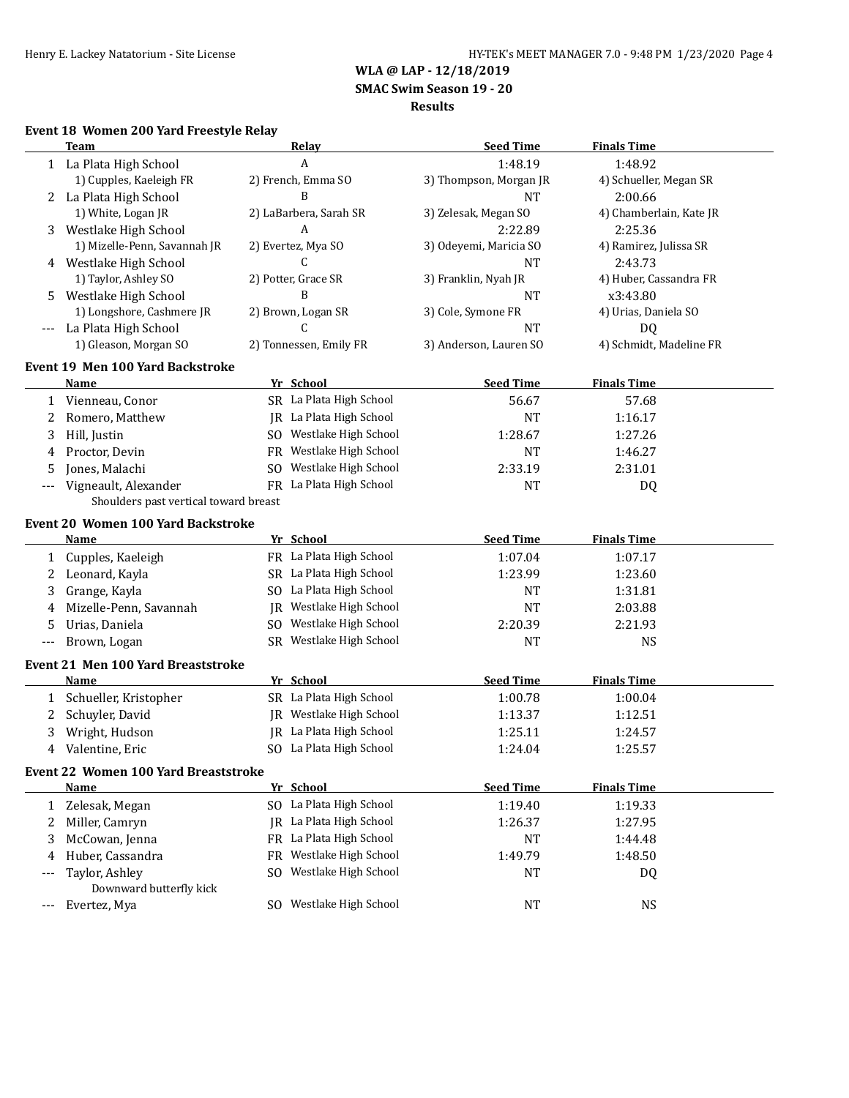**SMAC Swim Season 19 - 20**

### **Results**

## **Event 18 Women 200 Yard Freestyle Relay**

|              | <b>Team</b>                               | Relay                       | <b>Seed Time</b>       | <b>Finals Time</b>      |
|--------------|-------------------------------------------|-----------------------------|------------------------|-------------------------|
|              | 1 La Plata High School                    | A                           | 1:48.19                | 1:48.92                 |
|              | 1) Cupples, Kaeleigh FR                   | 2) French, Emma SO          | 3) Thompson, Morgan JR | 4) Schueller, Megan SR  |
| 2            | La Plata High School                      | B                           | <b>NT</b>              | 2:00.66                 |
|              | 1) White, Logan JR                        | 2) LaBarbera, Sarah SR      | 3) Zelesak, Megan SO   | 4) Chamberlain, Kate JR |
| 3            | Westlake High School                      | A                           | 2:22.89                | 2:25.36                 |
|              | 1) Mizelle-Penn, Savannah JR              | 2) Evertez, Mya SO          | 3) Odeyemi, Maricia SO | 4) Ramirez, Julissa SR  |
|              | 4 Westlake High School                    | C                           | <b>NT</b>              | 2:43.73                 |
|              | 1) Taylor, Ashley SO                      | 2) Potter, Grace SR         | 3) Franklin, Nyah JR   | 4) Huber, Cassandra FR  |
| 5.           | Westlake High School                      | B                           | <b>NT</b>              | x3:43.80                |
|              | 1) Longshore, Cashmere JR                 | 2) Brown, Logan SR          | 3) Cole, Symone FR     | 4) Urias, Daniela SO    |
|              | La Plata High School                      | C                           | <b>NT</b>              | DQ                      |
|              | 1) Gleason, Morgan SO                     | 2) Tonnessen, Emily FR      | 3) Anderson, Lauren SO | 4) Schmidt, Madeline FR |
|              | <b>Event 19 Men 100 Yard Backstroke</b>   |                             |                        |                         |
|              | Name                                      | Yr School                   | <b>Seed Time</b>       | <b>Finals Time</b>      |
| 1            | Vienneau, Conor                           | SR La Plata High School     | 56.67                  | 57.68                   |
| 2            | Romero, Matthew                           | JR La Plata High School     | <b>NT</b>              | 1:16.17                 |
| 3            | Hill, Justin                              | SO Westlake High School     | 1:28.67                | 1:27.26                 |
| 4            | Proctor, Devin                            | FR Westlake High School     | <b>NT</b>              | 1:46.27                 |
| 5            | Jones, Malachi                            | Westlake High School<br>SO. | 2:33.19                | 2:31.01                 |
| $---$        | Vigneault, Alexander                      | FR La Plata High School     | <b>NT</b>              | DQ                      |
|              | Shoulders past vertical toward breast     |                             |                        |                         |
|              | <b>Event 20 Women 100 Yard Backstroke</b> |                             |                        |                         |
|              | Name                                      | Yr School                   | <b>Seed Time</b>       | <b>Finals Time</b>      |
| 1            | Cupples, Kaeleigh                         | FR La Plata High School     | 1:07.04                | 1:07.17                 |
| 2            | Leonard, Kayla                            | SR La Plata High School     | 1:23.99                | 1:23.60                 |
| 3            | Grange, Kayla                             | SO La Plata High School     | <b>NT</b>              | 1:31.81                 |
| 4            | Mizelle-Penn, Savannah                    | JR Westlake High School     | <b>NT</b>              | 2:03.88                 |
| 5            | Urias, Daniela                            | SO Westlake High School     | 2:20.39                | 2:21.93                 |
| ---          | Brown, Logan                              | SR Westlake High School     | <b>NT</b>              | <b>NS</b>               |
|              | <b>Event 21 Men 100 Yard Breaststroke</b> |                             |                        |                         |
|              | Name                                      | Yr School                   | <b>Seed Time</b>       | <b>Finals Time</b>      |
| 1            | Schueller, Kristopher                     | SR La Plata High School     | 1:00.78                | 1:00.04                 |
| 2            | Schuyler, David                           | JR Westlake High School     | 1:13.37                | 1:12.51                 |
| 3            | Wright, Hudson                            | JR La Plata High School     | 1:25.11                | 1:24.57                 |
| 4            | Valentine, Eric                           | SO La Plata High School     | 1:24.04                | 1:25.57                 |
|              | Event 22 Women 100 Yard Breaststroke      |                             |                        |                         |
|              | Name                                      | Yr School                   | <b>Seed Time</b>       | <b>Finals Time</b>      |
| $\mathbf{1}$ | Zelesak, Megan                            | SO La Plata High School     | 1:19.40                | 1:19.33                 |
| 2            | Miller, Camryn                            | JR La Plata High School     | 1:26.37                | 1:27.95                 |
| 3            | McCowan, Jenna                            | FR La Plata High School     | <b>NT</b>              | 1:44.48                 |
| 4            | Huber, Cassandra                          | FR Westlake High School     | 1:49.79                | 1:48.50                 |
|              | Taylor, Ashley                            | Westlake High School<br>SO. | <b>NT</b>              | DQ                      |
|              | Downward butterfly kick                   |                             |                        |                         |
| $---$        | Evertez, Mya                              | SO Westlake High School     | <b>NT</b>              | <b>NS</b>               |